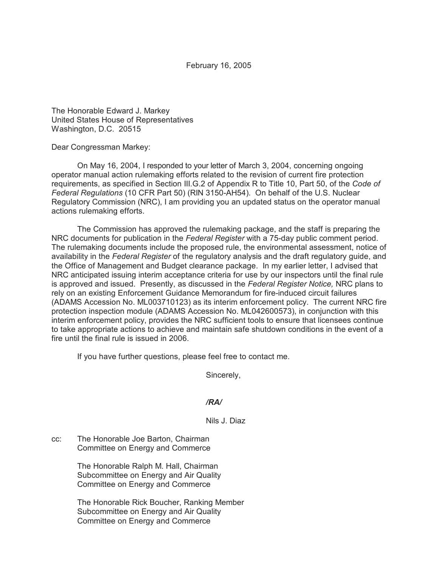February 16, 2005

The Honorable Edward J. Markey United States House of Representatives Washington, D.C. 20515

Dear Congressman Markey:

On May 16, 2004, I responded to your letter of March 3, 2004, concerning ongoing operator manual action rulemaking efforts related to the revision of current fire protection requirements, as specified in Section III.G.2 of Appendix R to Title 10, Part 50, of the *Code of Federal Regulations* (10 CFR Part 50) (RIN 3150-AH54). On behalf of the U.S. Nuclear Regulatory Commission (NRC), I am providing you an updated status on the operator manual actions rulemaking efforts.

The Commission has approved the rulemaking package, and the staff is preparing the NRC documents for publication in the *Federal Register* with a 75-day public comment period. The rulemaking documents include the proposed rule, the environmental assessment, notice of availability in the *Federal Register* of the regulatory analysis and the draft regulatory guide, and the Office of Management and Budget clearance package. In my earlier letter, I advised that NRC anticipated issuing interim acceptance criteria for use by our inspectors until the final rule is approved and issued. Presently, as discussed in the *Federal Register Notice,* NRC plans to rely on an existing Enforcement Guidance Memorandum for fire-induced circuit failures (ADAMS Accession No. ML003710123) as its interim enforcement policy. The current NRC fire protection inspection module (ADAMS Accession No. ML042600573), in conjunction with this interim enforcement policy, provides the NRC sufficient tools to ensure that licensees continue to take appropriate actions to achieve and maintain safe shutdown conditions in the event of a fire until the final rule is issued in 2006.

If you have further questions, please feel free to contact me.

Sincerely,

## */RA/*

Nils J. Diaz

cc: The Honorable Joe Barton, Chairman Committee on Energy and Commerce

> The Honorable Ralph M. Hall, Chairman Subcommittee on Energy and Air Quality Committee on Energy and Commerce

The Honorable Rick Boucher, Ranking Member Subcommittee on Energy and Air Quality Committee on Energy and Commerce